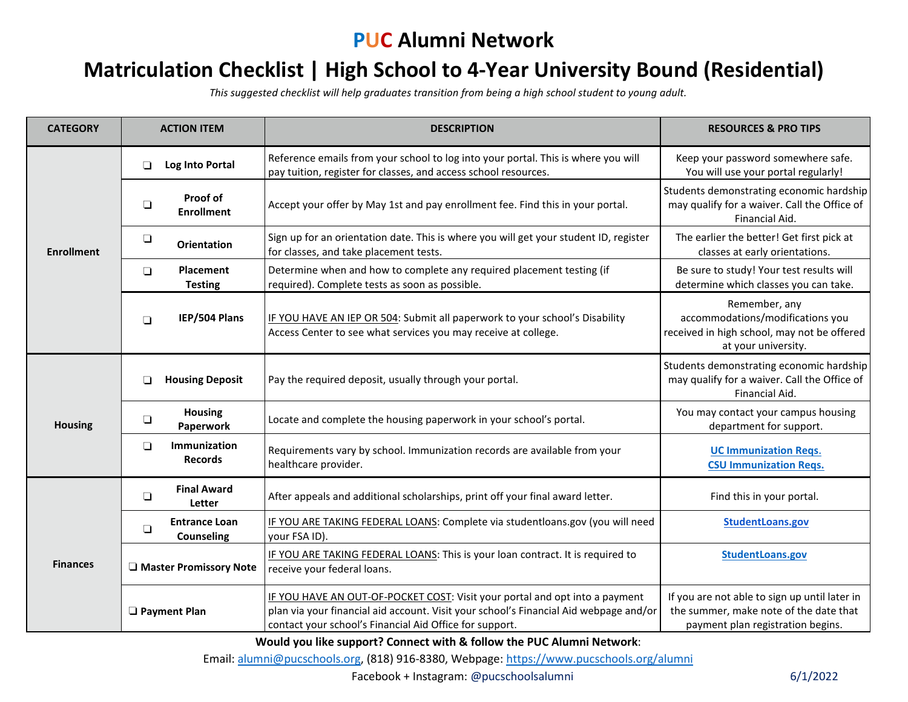## **PUC Alumni Network**

## **Matriculation Checklist | High School to 4-Year University Bound (Residential)**

*This suggested checklist will help graduates transition from being a high school student to young adult.* 

| <b>CATEGORY</b>   | <b>ACTION ITEM</b>                                  | <b>DESCRIPTION</b>                                                                                                                                                                                                              | <b>RESOURCES &amp; PRO TIPS</b>                                                                                              |
|-------------------|-----------------------------------------------------|---------------------------------------------------------------------------------------------------------------------------------------------------------------------------------------------------------------------------------|------------------------------------------------------------------------------------------------------------------------------|
| <b>Enrollment</b> | □<br>Log Into Portal                                | Reference emails from your school to log into your portal. This is where you will<br>pay tuition, register for classes, and access school resources.                                                                            | Keep your password somewhere safe.<br>You will use your portal regularly!                                                    |
|                   | Proof of<br>$\Box$<br><b>Enrollment</b>             | Accept your offer by May 1st and pay enrollment fee. Find this in your portal.                                                                                                                                                  | Students demonstrating economic hardship<br>may qualify for a waiver. Call the Office of<br>Financial Aid.                   |
|                   | $\Box$<br><b>Orientation</b>                        | Sign up for an orientation date. This is where you will get your student ID, register<br>for classes, and take placement tests.                                                                                                 | The earlier the better! Get first pick at<br>classes at early orientations.                                                  |
|                   | <b>Placement</b><br>$\Box$<br><b>Testing</b>        | Determine when and how to complete any required placement testing (if<br>required). Complete tests as soon as possible.                                                                                                         | Be sure to study! Your test results will<br>determine which classes you can take.                                            |
|                   | IEP/504 Plans<br>$\Box$                             | IF YOU HAVE AN IEP OR 504: Submit all paperwork to your school's Disability<br>Access Center to see what services you may receive at college.                                                                                   | Remember, any<br>accommodations/modifications you<br>received in high school, may not be offered<br>at your university.      |
|                   | <b>Housing Deposit</b><br>❏                         | Pay the required deposit, usually through your portal.                                                                                                                                                                          | Students demonstrating economic hardship<br>may qualify for a waiver. Call the Office of<br>Financial Aid.                   |
| <b>Housing</b>    | <b>Housing</b><br>$\Box$<br>Paperwork               | Locate and complete the housing paperwork in your school's portal.                                                                                                                                                              | You may contact your campus housing<br>department for support.                                                               |
|                   | <b>Immunization</b><br>$\Box$<br><b>Records</b>     | Requirements vary by school. Immunization records are available from your<br>healthcare provider.                                                                                                                               | <b>UC Immunization Regs.</b><br><b>CSU Immunization Regs.</b>                                                                |
|                   | <b>Final Award</b><br>$\Box$<br>Letter              | After appeals and additional scholarships, print off your final award letter.                                                                                                                                                   | Find this in your portal.                                                                                                    |
|                   | <b>Entrance Loan</b><br>$\Box$<br><b>Counseling</b> | IF YOU ARE TAKING FEDERAL LOANS: Complete via studentloans.gov (you will need<br>your FSA ID).                                                                                                                                  | StudentLoans.gov                                                                                                             |
| <b>Finances</b>   | <b>U</b> Master Promissory Note                     | IF YOU ARE TAKING FEDERAL LOANS: This is your loan contract. It is required to<br>receive your federal loans.                                                                                                                   | StudentLoans.gov                                                                                                             |
|                   | <b>D</b> Payment Plan                               | IF YOU HAVE AN OUT-OF-POCKET COST: Visit your portal and opt into a payment<br>plan via your financial aid account. Visit your school's Financial Aid webpage and/or<br>contact your school's Financial Aid Office for support. | If you are not able to sign up until later in<br>the summer, make note of the date that<br>payment plan registration begins. |

**Would you like support? Connect with & follow the PUC Alumni Network**:

Email: [alumni@pucschools.org,](mailto:alumni@pucschools.org) (818) 916-8380, Webpage[: https://www.pucschools.org/alumni](https://www.pucschools.org/alumni)